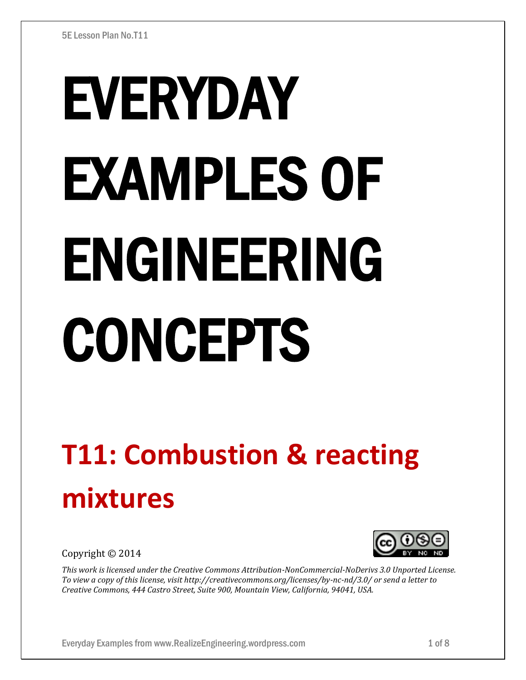# EVERYDAY EXAMPLES OF ENGINEERING CONCEPTS

# **T11: Combustion & reacting mixtures**

Copyright © 2014



*This work is licensed under the Creative Commons Attribution-NonCommercial-NoDerivs 3.0 Unported License. To view a copy of this license, visit http://creativecommons.org/licenses/by-nc-nd/3.0/ or send a letter to Creative Commons, 444 Castro Street, Suite 900, Mountain View, California, 94041, USA.*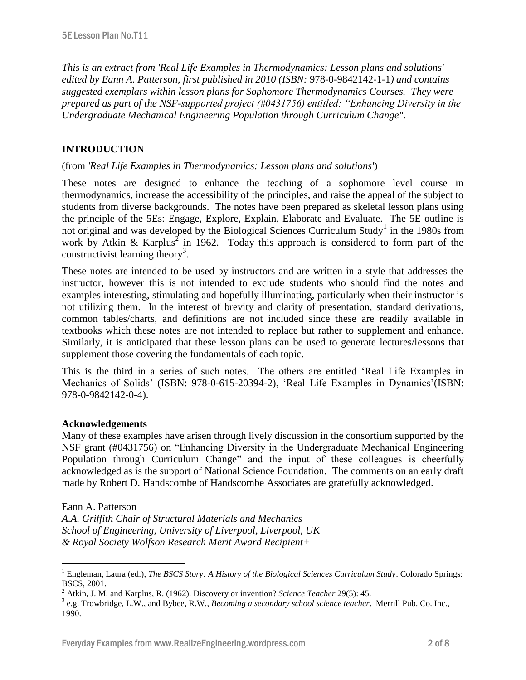*This is an extract from 'Real Life Examples in Thermodynamics: Lesson plans and solutions' edited by Eann A. Patterson, first published in 2010 (ISBN:* 978-0-9842142-1-1*) and contains suggested exemplars within lesson plans for Sophomore Thermodynamics Courses. They were prepared as part of the NSF-supported project (#0431756) entitled: "Enhancing Diversity in the Undergraduate Mechanical Engineering Population through Curriculum Change".* 

# **INTRODUCTION**

## (from *'Real Life Examples in Thermodynamics: Lesson plans and solutions'*)

These notes are designed to enhance the teaching of a sophomore level course in thermodynamics, increase the accessibility of the principles, and raise the appeal of the subject to students from diverse backgrounds. The notes have been prepared as skeletal lesson plans using the principle of the 5Es: Engage, Explore, Explain, Elaborate and Evaluate. The 5E outline is not original and was developed by the Biological Sciences Curriculum Study<sup>1</sup> in the 1980s from work by Atkin & Karplus<sup>2</sup> in 1962. Today this approach is considered to form part of the constructivist learning theory<sup>3</sup>.

These notes are intended to be used by instructors and are written in a style that addresses the instructor, however this is not intended to exclude students who should find the notes and examples interesting, stimulating and hopefully illuminating, particularly when their instructor is not utilizing them. In the interest of brevity and clarity of presentation, standard derivations, common tables/charts, and definitions are not included since these are readily available in textbooks which these notes are not intended to replace but rather to supplement and enhance. Similarly, it is anticipated that these lesson plans can be used to generate lectures/lessons that supplement those covering the fundamentals of each topic.

This is the third in a series of such notes. The others are entitled 'Real Life Examples in Mechanics of Solids' (ISBN: 978-0-615-20394-2), 'Real Life Examples in Dynamics'(ISBN: 978-0-9842142-0-4).

## **Acknowledgements**

Many of these examples have arisen through lively discussion in the consortium supported by the NSF grant (#0431756) on "Enhancing Diversity in the Undergraduate Mechanical Engineering Population through Curriculum Change" and the input of these colleagues is cheerfully acknowledged as is the support of National Science Foundation. The comments on an early draft made by Robert D. Handscombe of Handscombe Associates are gratefully acknowledged.

#### Eann A. Patterson

 $\overline{a}$ 

*A.A. Griffith Chair of Structural Materials and Mechanics School of Engineering, University of Liverpool, Liverpool, UK & Royal Society Wolfson Research Merit Award Recipient+*

<sup>&</sup>lt;sup>1</sup> Engleman, Laura (ed.), *The BSCS Story: A History of the Biological Sciences Curriculum Study*. Colorado Springs: BSCS, 2001.

<sup>2</sup> Atkin, J. M. and Karplus, R. (1962). Discovery or invention? *Science Teacher* 29(5): 45.

<sup>3</sup> e.g. Trowbridge, L.W., and Bybee, R.W., *Becoming a secondary school science teacher*. Merrill Pub. Co. Inc., 1990.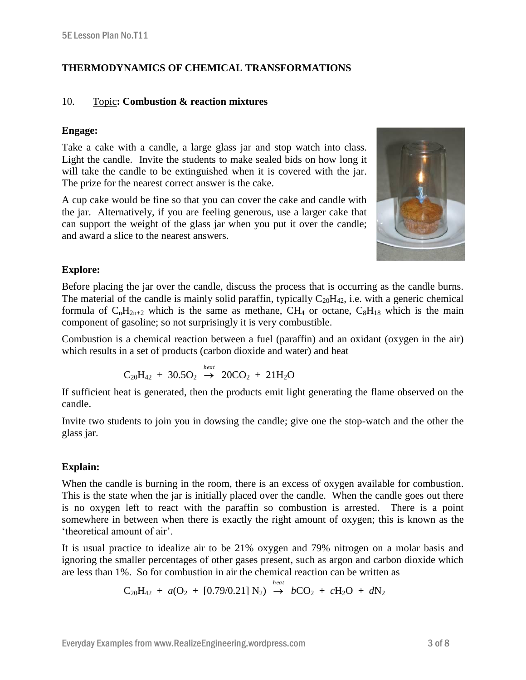# **THERMODYNAMICS OF CHEMICAL TRANSFORMATIONS**

#### 10. Topic**: Combustion & reaction mixtures**

#### **Engage:**

Take a cake with a candle, a large glass jar and stop watch into class. Light the candle. Invite the students to make sealed bids on how long it will take the candle to be extinguished when it is covered with the jar. The prize for the nearest correct answer is the cake.

A cup cake would be fine so that you can cover the cake and candle with the jar. Alternatively, if you are feeling generous, use a larger cake that can support the weight of the glass jar when you put it over the candle; and award a slice to the nearest answers.



## **Explore:**

Before placing the jar over the candle, discuss the process that is occurring as the candle burns. The material of the candle is mainly solid paraffin, typically  $C_{20}H_{42}$ , i.e. with a generic chemical formula of  $C_nH_{2n+2}$  which is the same as methane, CH<sub>4</sub> or octane,  $C_8H_{18}$  which is the main component of gasoline; so not surprisingly it is very combustible.

Combustion is a chemical reaction between a fuel (paraffin) and an oxidant (oxygen in the air) which results in a set of products (carbon dioxide and water) and heat

$$
C_{20}H_{42} + 30.5O_2 \stackrel{heat}{\rightarrow} 20CO_2 + 21H_2O
$$

If sufficient heat is generated, then the products emit light generating the flame observed on the candle.

Invite two students to join you in dowsing the candle; give one the stop-watch and the other the glass jar.

# **Explain:**

When the candle is burning in the room, there is an excess of oxygen available for combustion. This is the state when the jar is initially placed over the candle. When the candle goes out there is no oxygen left to react with the paraffin so combustion is arrested. There is a point somewhere in between when there is exactly the right amount of oxygen; this is known as the 'theoretical amount of air'.

It is usual practice to idealize air to be 21% oxygen and 79% nitrogen on a molar basis and ignoring the smaller percentages of other gases present, such as argon and carbon dioxide which are less than 1%. So for combustion in air the chemical reaction can be written as

$$
C_{20}H_{42} + a(O_2 + [0.79/0.21] N_2) \stackrel{heat}{\rightarrow} bCO_2 + cH_2O + dN_2
$$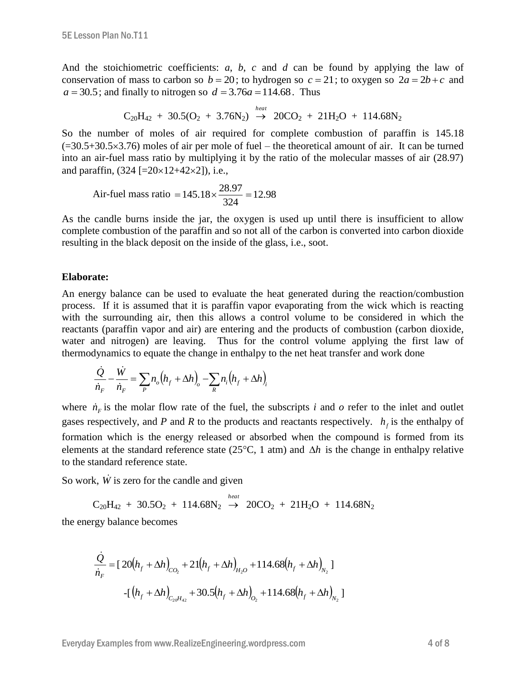And the stoichiometric coefficients: *a*, *b*, *c* and *d* can be found by applying the law of conservation of mass to carbon so  $b = 20$ ; to hydrogen so  $c = 21$ ; to oxygen so  $2a = 2b + c$  and  $a = 30.5$ ; and finally to nitrogen so  $d = 3.76a = 114.68$ . Thus

$$
C_{20}H_{42} + 30.5(O_2 + 3.76N_2) \stackrel{heat}{\rightarrow} 20CO_2 + 21H_2O + 114.68N_2
$$

So the number of moles of air required for complete combustion of paraffin is 145.18  $(=30.5+30.5\times3.76)$  moles of air per mole of fuel – the theoretical amount of air. It can be turned into an air-fuel mass ratio by multiplying it by the ratio of the molecular masses of air (28.97) and paraffin,  $(324 [-20 \times 12 + 42 \times 2])$ , i.e.,

Air-field mass ratio = 
$$
145.18 \times \frac{28.97}{324} = 12.98
$$

As the candle burns inside the jar, the oxygen is used up until there is insufficient to allow complete combustion of the paraffin and so not all of the carbon is converted into carbon dioxide resulting in the black deposit on the inside of the glass, i.e., soot.

#### **Elaborate:**

An energy balance can be used to evaluate the heat generated during the reaction/combustion process. If it is assumed that it is paraffin vapor evaporating from the wick which is reacting with the surrounding air, then this allows a control volume to be considered in which the reactants (paraffin vapor and air) are entering and the products of combustion (carbon dioxide, water and nitrogen) are leaving. Thus for the control volume applying the first law of thermodynamics to equate the change in enthalpy to the net heat transfer and work done

$$
\frac{\dot{Q}}{\dot{n}_F} - \frac{\dot{W}}{\dot{n}_F} = \sum_{P} n_o (h_f + \Delta h)_o - \sum_{R} n_i (h_f + \Delta h)_i
$$

where  $\dot{n}_F$  is the molar flow rate of the fuel, the subscripts *i* and *o* refer to the inlet and outlet gases respectively, and *P* and *R* to the products and reactants respectively.  $h_f$  is the enthalpy of formation which is the energy released or absorbed when the compound is formed from its elements at the standard reference state (25 $\degree$ C, 1 atm) and  $\Delta h$  is the change in enthalpy relative to the standard reference state.

So work,  $\dot{W}$  is zero for the candle and given

 $C_{20}H_{42} + 30.5O_2 + 114.68N_2 \stackrel{heat}{\rightarrow} 20CO_2 + 21H_2O + 114.68N_2$ 

the energy balance becomes

$$
\frac{\dot{Q}}{\dot{n}_F} = [20(h_f + \Delta h)_{CO_2} + 21(h_f + \Delta h)_{H_2O} + 114.68(h_f + \Delta h)_{N_2}]
$$

$$
-[(h_f + \Delta h)_{C_{20}H_{42}} + 30.5(h_f + \Delta h)_{O_2} + 114.68(h_f + \Delta h)_{N_2}]
$$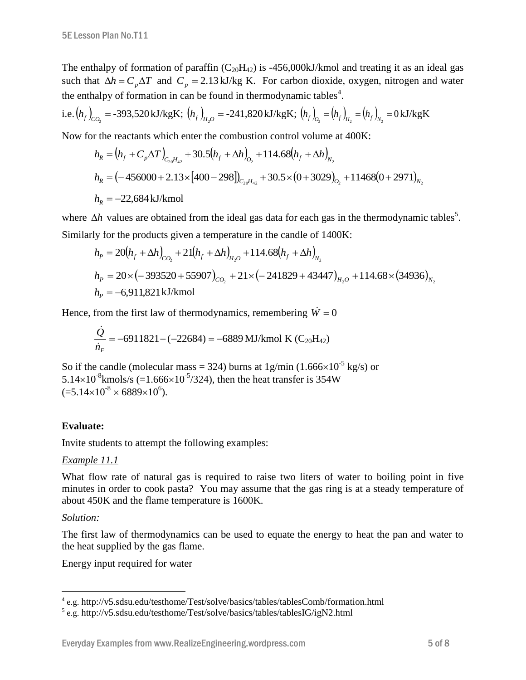The enthalpy of formation of paraffin  $(C_{20}H_{42})$  is -456,000kJ/kmol and treating it as an ideal gas such that  $\Delta h = C_p \Delta T$  and  $C_p = 2.13 \text{ kJ/kg K}$ . For carbon dioxide, oxygen, nitrogen and water the enthalpy of formation in can be found in thermodynamic tables<sup>4</sup>.

i.e. 
$$
(h_f)_{CO_2}
$$
 = -393,520 kJ/kgK;  $(h_f)_{H_2O}$  = -241,820 kJ/kgK;  $(h_f)_{O_2}$  =  $(h_f)_{H_2}$  =  $(h_f)_{N_2}$  = 0 kJ/kgK

Now for the reactants which enter the combustion control volume at 400K:

$$
h_R = (h_f + C_p \Delta T)_{C_2 \rho H_{42}} + 30.5(h_f + \Delta h)_{O_2} + 114.68(h_f + \Delta h)_{N_2}
$$
  
\n
$$
h_R = (-456000 + 2.13 \times [400 - 298])_{C_2 \rho H_{42}} + 30.5 \times (0 + 3029)_{O_2} + 11468(0 + 2971)_{N_2}
$$
  
\n
$$
h_R = -22,684 \text{ kJ/kmol}
$$

where  $\Delta h$  values are obtained from the ideal gas data for each gas in the thermodynamic tables<sup>5</sup>. Similarly for the products given a temperature in the candle of 1400K:

$$
h_P = 20(h_f + \Delta h)_{CO_2} + 21(h_f + \Delta h)_{H_2O} + 114.68(h_f + \Delta h)_{N_2}
$$
  
\n
$$
h_P = 20 \times (-393520 + 55907)_{CO_2} + 21 \times (-241829 + 43447)_{H_2O} + 114.68 \times (34936)_{N_2}
$$
  
\n
$$
h_P = -6,911,821 \text{ kJ/kmol}
$$

Hence, from the first law of thermodynamics, remembering  $\dot{W} = 0$ 

$$
\frac{\dot{Q}}{\dot{n}_F} = -6911821 - (-22684) = -6889 \text{ MJ/kmol K} (C_{20}H_{42})
$$

So if the candle (molecular mass = 324) burns at  $1g/min (1.666 \times 10^{-5} kg/s)$  or 5.14 $\times$ 10<sup>-8</sup> kmols/s (=1.666 $\times$ 10<sup>-5</sup>/324), then the heat transfer is 354W  $(=5.14\times10^{-8} \times 6889\times10^{6}).$ 

## **Evaluate:**

Invite students to attempt the following examples:

## *Example 11.1*

What flow rate of natural gas is required to raise two liters of water to boiling point in five minutes in order to cook pasta? You may assume that the gas ring is at a steady temperature of about 450K and the flame temperature is 1600K.

## *Solution:*

The first law of thermodynamics can be used to equate the energy to heat the pan and water to the heat supplied by the gas flame.

Energy input required for water

 4 e.g. http://v5.sdsu.edu/testhome/Test/solve/basics/tables/tablesComb/formation.html

<sup>5</sup> e.g. http://v5.sdsu.edu/testhome/Test/solve/basics/tables/tablesIG/igN2.html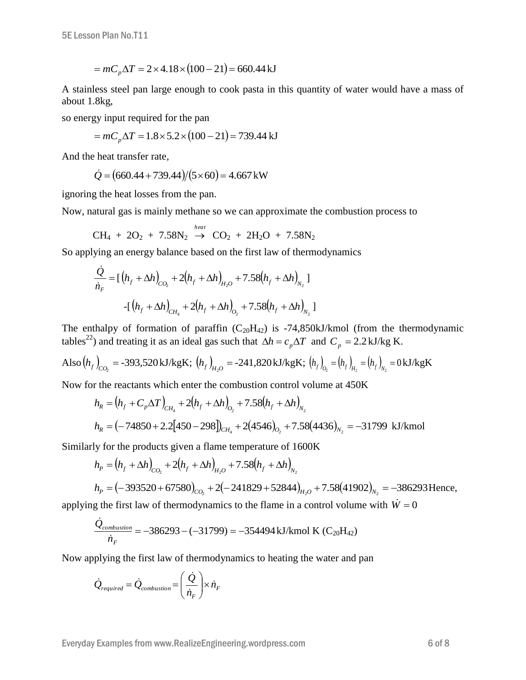$$
= mC_p \Delta T = 2 \times 4.18 \times (100 - 21) = 660.44 \,\mathrm{kJ}
$$

A stainless steel pan large enough to cook pasta in this quantity of water would have a mass of about 1.8kg,

so energy input required for the pan

$$
= mC_p \Delta T = 1.8 \times 5.2 \times (100 - 21) = 739.44 \text{ kJ}
$$

And the heat transfer rate,

$$
\dot{Q} = (660.44 + 739.44)/(5 \times 60) = 4.667 \,\text{kW}
$$

ignoring the heat losses from the pan.

Now, natural gas is mainly methane so we can approximate the combustion process to

$$
CH_4 + 2O_2 + 7.58N_2 \stackrel{heat}{\rightarrow} CO_2 + 2H_2O + 7.58N_2
$$

So applying an energy balance based on the first law of thermodynamics

$$
\frac{\dot{Q}}{\dot{n}_F} = \left[ \left( h_f + \Delta h \right)_{CO_2} + 2 \left( h_f + \Delta h \right)_{H_2O} + 7.58 \left( h_f + \Delta h \right)_{N_2} \right]
$$

$$
- \left[ \left( h_f + \Delta h \right)_{CH_4} + 2 \left( h_f + \Delta h \right)_{O_2} + 7.58 \left( h_f + \Delta h \right)_{N_2} \right]
$$

The enthalpy of formation of paraffin  $(C_{20}H_{42})$  is -74,850kJ/kmol (from the thermodynamic tables<sup>22</sup>) and treating it as an ideal gas such that  $\Delta h = c_p \Delta T$  and  $C_p = 2.2 \text{ kJ/kg K}$ .

Also 
$$
(h_f)_{CO_2}
$$
 = -393,520 kJ/kgK;  $(h_f)_{H_2O}$  = -241,820 kJ/kgK;  $(h_f)_{O_2}$  =  $(h_f)_{H_2}$  =  $(h_f)_{N_2}$  = 0 kJ/kgK

Now for the reactants which enter the combustion control volume at 450K

$$
h_R = (h_f + C_p \Delta T)_{CH_4} + 2(h_f + \Delta h)_{O_2} + 7.58(h_f + \Delta h)_{N_2}
$$
  

$$
h_R = (-74850 + 2.2[450 - 298])_{CH_4} + 2(4546)_{O_2} + 7.58(4436)_{N_2} = -31799 \text{ kJ/kmol}
$$

Similarly for the products given a flame temperature of 1600K

$$
h_P = (h_f + \Delta h)_{CO_2} + 2(h_f + \Delta h)_{H_2O} + 7.58(h_f + \Delta h)_{N_2}
$$
  
\n
$$
h_P = (-393520 + 67580)_{CO_2} + 2(-241829 + 52844)_{H_2O} + 7.58(41902)_{N_2} = -386293 \text{ Hence,}
$$

applying the first law of thermodynamics to the flame in a control volume with  $\dot{W} = 0$ 

$$
\frac{\dot{Q}_{combination}}{\dot{n}_{F}} = -386293 - (-31799) = -354494 \text{ kJ/kmol K} (C_{20}H_{42})
$$

Now applying the first law of thermodynamics to heating the water and pan

$$
\dot{Q}_{required} = \dot{Q}_{combination} = \left(\frac{\dot{Q}}{\dot{n}_F}\right) \times \dot{n}_F
$$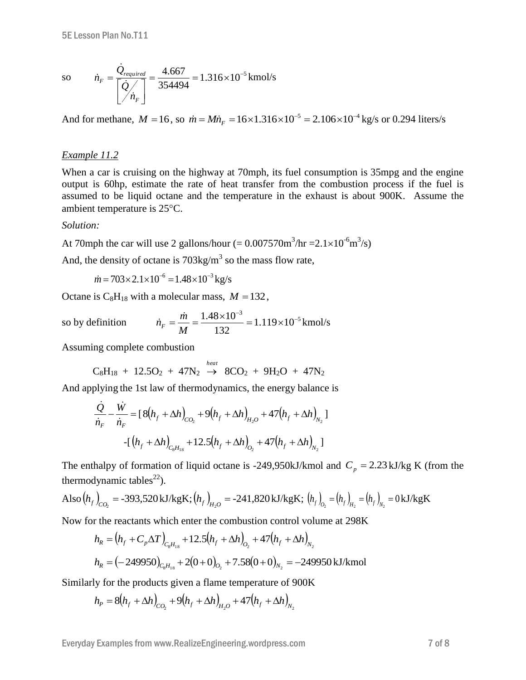so 
$$
\dot{n}_F = \frac{\dot{Q}_{required}}{\left[\dot{Q}/\dot{n}_F\right]} = \frac{4.667}{354494} = 1.316 \times 10^{-5} \text{ kmol/s}
$$

And for methane,  $M = 16$ , so  $\dot{m} = M\dot{n}_F = 16 \times 1.316 \times 10^{-5} = 2.106 \times 10^{-4}$  kg/s or 0.294 liters/s

#### *Example 11.2*

When a car is cruising on the highway at 70mph, its fuel consumption is 35mpg and the engine output is 60hp, estimate the rate of heat transfer from the combustion process if the fuel is assumed to be liquid octane and the temperature in the exhaust is about 900K. Assume the ambient temperature is  $25^{\circ}$ C.

#### *Solution:*

At 70mph the car will use 2 gallons/hour  $(= 0.007570 \text{m}^3/\text{hr} = 2.1 \times 10^{-6} \text{m}^3/\text{s})$ 

And, the density of octane is  $703 \text{kg/m}^3$  so the mass flow rate,

 $\dot{m} = 703 \times 2.1 \times 10^{-6} = 1.48 \times 10^{-3} \text{ kg/s}$ 

Octane is  $C_8H_{18}$  with a molecular mass,  $M = 132$ ,

so by definition 
$$
\dot{n}_F = \frac{\dot{m}}{M} = \frac{1.48 \times 10^{-3}}{132} = 1.119 \times 10^{-5} \text{ kmol/s}
$$

Assuming complete combustion

$$
C_8H_{18} + 12.5O_2 + 47N_2 \stackrel{heat}{\rightarrow} 8CO_2 + 9H_2O + 47N_2
$$

And applying the 1st law of thermodynamics, the energy balance is

$$
\frac{\dot{Q}}{\dot{n}_F} - \frac{\dot{W}}{\dot{n}_F} = [8(h_f + \Delta h)_{CO_2} + 9(h_f + \Delta h)_{H_2O} + 47(h_f + \Delta h)_{N_2}]
$$

$$
-[(h_f + \Delta h)_{C_8H_{18}} + 12.5(h_f + \Delta h)_{O_2} + 47(h_f + \Delta h)_{N_2}]
$$

The enthalpy of formation of liquid octane is -249,950kJ/kmol and  $C_p = 2.23 \text{ kJ/kg K}$  (from the thermodynamic tables<sup>22</sup>).

Also 
$$
(h_f)_{CO_2}
$$
 = -393,520 kJ/kgK;  $(h_f)_{H_2O}$  = -241,820 kJ/kgK;  $(h_f)_{O_2}$  =  $(h_f)_{H_2}$  =  $(h_f)_{N_2}$  = 0 kJ/kgK

Now for the reactants which enter the combustion control volume at 298K

$$
h_R = (h_f + C_p \Delta T)_{C_8 H_{18}} + 12.5(h_f + \Delta h)_{O_2} + 47(h_f + \Delta h)_{N_2}
$$
  

$$
h_R = (-249950)_{C_8 H_{18}} + 2(0+0)_{O_2} + 7.58(0+0)_{N_2} = -249950 \text{ kJ/kmol}
$$

Similarly for the products given a flame temperature of 900K

$$
h_{P} = 8(h_{f} + \Delta h)_{CO_{2}} + 9(h_{f} + \Delta h)_{H_{2}O} + 47(h_{f} + \Delta h)_{N_{2}}
$$